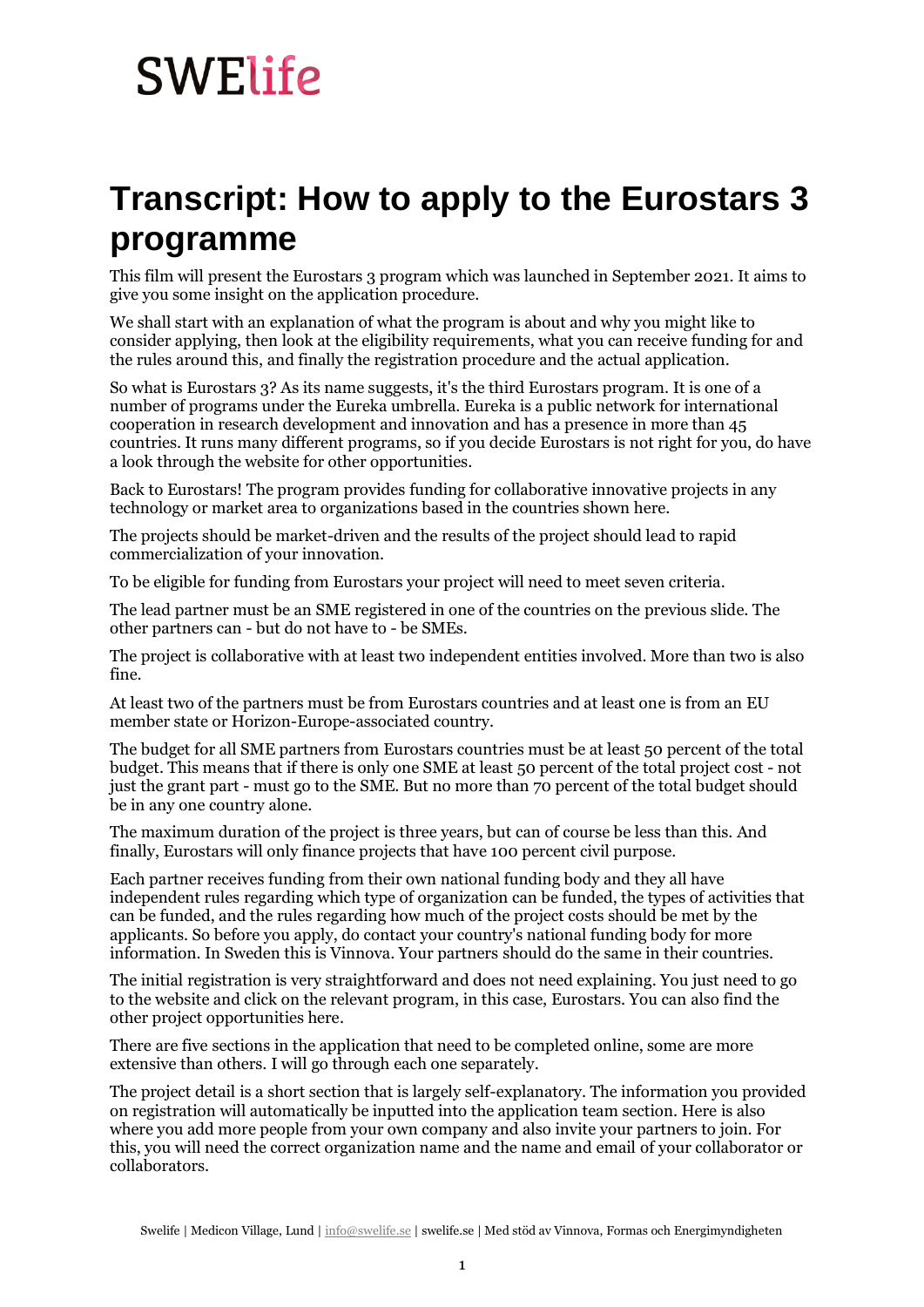## **SWElife**

## **Transcript: How to apply to the Eurostars 3 programme**

This film will present the Eurostars 3 program which was launched in September 2021. It aims to give you some insight on the application procedure.

We shall start with an explanation of what the program is about and why you might like to consider applying, then look at the eligibility requirements, what you can receive funding for and the rules around this, and finally the registration procedure and the actual application.

So what is Eurostars 3? As its name suggests, it's the third Eurostars program. It is one of a number of programs under the Eureka umbrella. Eureka is a public network for international cooperation in research development and innovation and has a presence in more than 45 countries. It runs many different programs, so if you decide Eurostars is not right for you, do have a look through the website for other opportunities.

Back to Eurostars! The program provides funding for collaborative innovative projects in any technology or market area to organizations based in the countries shown here.

The projects should be market-driven and the results of the project should lead to rapid commercialization of your innovation.

To be eligible for funding from Eurostars your project will need to meet seven criteria.

The lead partner must be an SME registered in one of the countries on the previous slide. The other partners can - but do not have to - be SMEs.

The project is collaborative with at least two independent entities involved. More than two is also fine.

At least two of the partners must be from Eurostars countries and at least one is from an EU member state or Horizon-Europe-associated country.

The budget for all SME partners from Eurostars countries must be at least 50 percent of the total budget. This means that if there is only one SME at least 50 percent of the total project cost - not just the grant part - must go to the SME. But no more than 70 percent of the total budget should be in any one country alone.

The maximum duration of the project is three years, but can of course be less than this. And finally, Eurostars will only finance projects that have 100 percent civil purpose.

Each partner receives funding from their own national funding body and they all have independent rules regarding which type of organization can be funded, the types of activities that can be funded, and the rules regarding how much of the project costs should be met by the applicants. So before you apply, do contact your country's national funding body for more information. In Sweden this is Vinnova. Your partners should do the same in their countries.

The initial registration is very straightforward and does not need explaining. You just need to go to the website and click on the relevant program, in this case, Eurostars. You can also find the other project opportunities here.

There are five sections in the application that need to be completed online, some are more extensive than others. I will go through each one separately.

The project detail is a short section that is largely self-explanatory. The information you provided on registration will automatically be inputted into the application team section. Here is also where you add more people from your own company and also invite your partners to join. For this, you will need the correct organization name and the name and email of your collaborator or collaborators.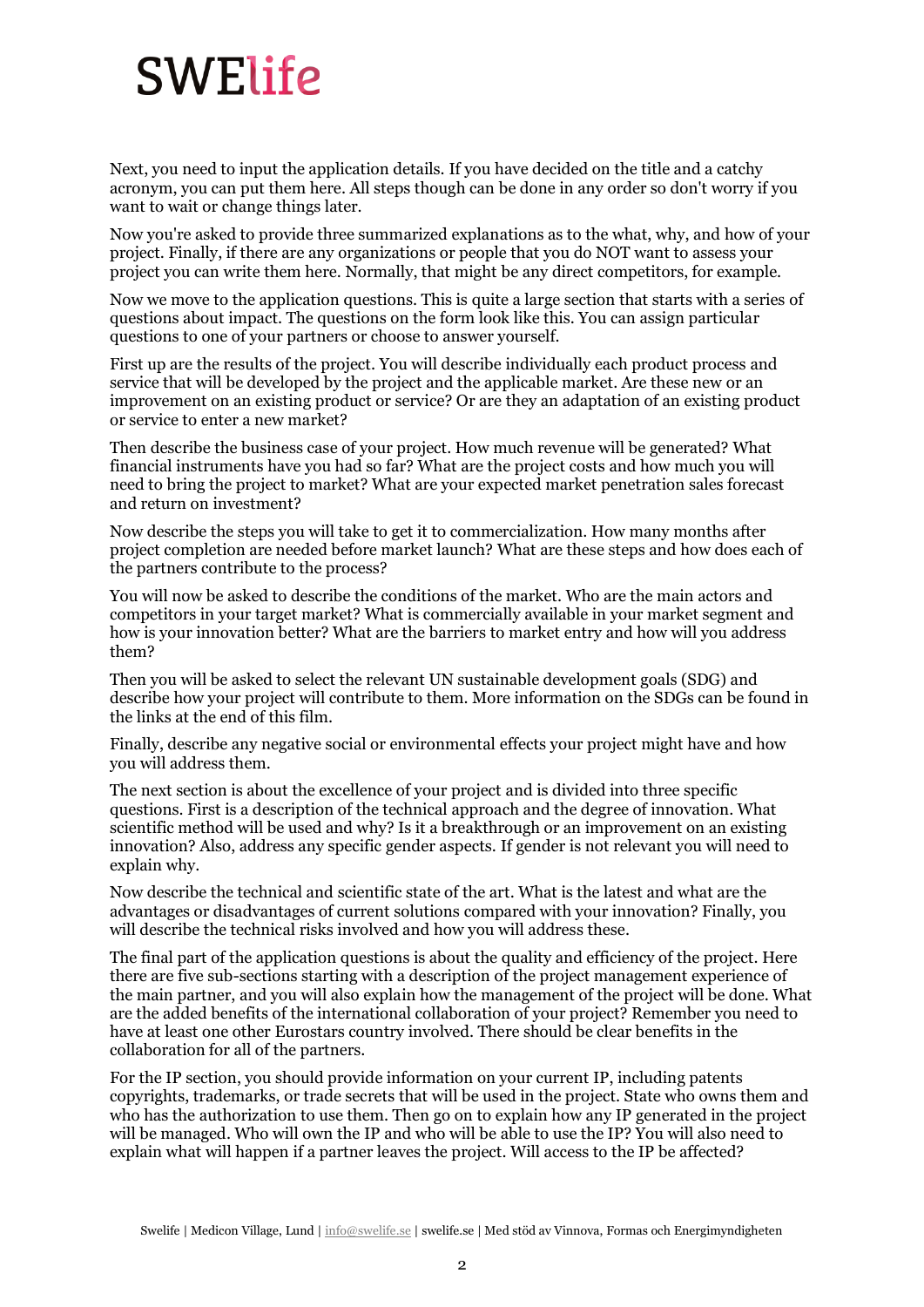## **SWElife**

Next, you need to input the application details. If you have decided on the title and a catchy acronym, you can put them here. All steps though can be done in any order so don't worry if you want to wait or change things later.

Now you're asked to provide three summarized explanations as to the what, why, and how of your project. Finally, if there are any organizations or people that you do NOT want to assess your project you can write them here. Normally, that might be any direct competitors, for example.

Now we move to the application questions. This is quite a large section that starts with a series of questions about impact. The questions on the form look like this. You can assign particular questions to one of your partners or choose to answer yourself.

First up are the results of the project. You will describe individually each product process and service that will be developed by the project and the applicable market. Are these new or an improvement on an existing product or service? Or are they an adaptation of an existing product or service to enter a new market?

Then describe the business case of your project. How much revenue will be generated? What financial instruments have you had so far? What are the project costs and how much you will need to bring the project to market? What are your expected market penetration sales forecast and return on investment?

Now describe the steps you will take to get it to commercialization. How many months after project completion are needed before market launch? What are these steps and how does each of the partners contribute to the process?

You will now be asked to describe the conditions of the market. Who are the main actors and competitors in your target market? What is commercially available in your market segment and how is your innovation better? What are the barriers to market entry and how will you address them?

Then you will be asked to select the relevant UN sustainable development goals (SDG) and describe how your project will contribute to them. More information on the SDGs can be found in the links at the end of this film.

Finally, describe any negative social or environmental effects your project might have and how you will address them.

The next section is about the excellence of your project and is divided into three specific questions. First is a description of the technical approach and the degree of innovation. What scientific method will be used and why? Is it a breakthrough or an improvement on an existing innovation? Also, address any specific gender aspects. If gender is not relevant you will need to explain why.

Now describe the technical and scientific state of the art. What is the latest and what are the advantages or disadvantages of current solutions compared with your innovation? Finally, you will describe the technical risks involved and how you will address these.

The final part of the application questions is about the quality and efficiency of the project. Here there are five sub-sections starting with a description of the project management experience of the main partner, and you will also explain how the management of the project will be done. What are the added benefits of the international collaboration of your project? Remember you need to have at least one other Eurostars country involved. There should be clear benefits in the collaboration for all of the partners.

For the IP section, you should provide information on your current IP, including patents copyrights, trademarks, or trade secrets that will be used in the project. State who owns them and who has the authorization to use them. Then go on to explain how any IP generated in the project will be managed. Who will own the IP and who will be able to use the IP? You will also need to explain what will happen if a partner leaves the project. Will access to the IP be affected?